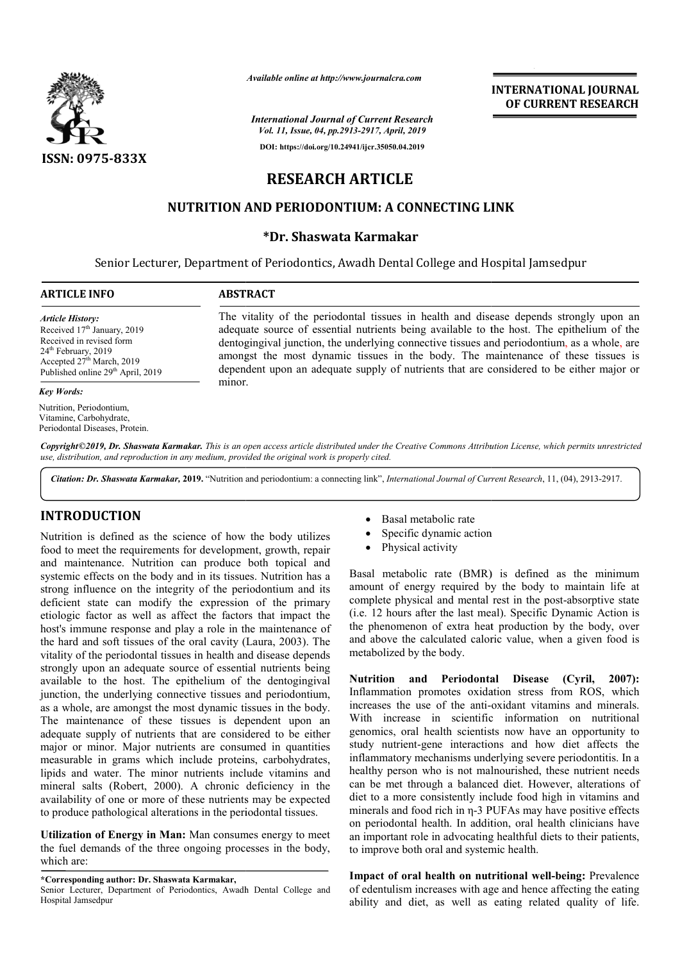

*Available online at http://www.journalcra.com*

*International Journal of Current Research Vol. 11, Issue, 04, pp.2913-2917, April, 2019*

**DOI: https://doi.org/10.24941/ijcr.35050.04.2019**

# **RESEARCH ARTICLE**

# **NUTRITION AND PERIODONTIUM: A CONNECTING LINK**

# **\*Dr. Shaswata Karmakar**

Senior Lecturer, Department of Periodontics, Awadh Dental College and Hospital Jamsedpur

#### **ARTICLE INFO ABSTRACT**

*Article History:* Received 17<sup>th</sup> January, 2019 Received in revised form 24<sup>th</sup> February, 2019 Accepted  $27<sup>th</sup>$  March, 2019 Published online 29<sup>th</sup> April, 2019

#### *Key Words:*

Nutrition, Periodontium, Vitamine, Carbohydrate, Periodontal Diseases, Protein.

The vitality of the periodontal tissues in health and disease depends strongly upon an adequate source of essential nutrients being available to the host. The epithelium of the The vitality of the periodontal tissues in health and disease depends strongly upon an adequate source of essential nutrients being available to the host. The epithelium of the dentogingival junction, the underlying connec amongst the most dynamic tissues in the body. The maintenance of these tissues is amongst the most dynamic tissues in the body. The maintenance of these tissues is dependent upon an adequate supply of nutrients that are considered to be either major or minor.

Copyright©2019, Dr. Shaswata Karmakar. This is an open access article distributed under the Creative Commons Attribution License, which permits unrestrictea *use, distribution, and reproduction in any medium, provided the original work is properly cited.*

Citation: Dr. Shaswata Karmakar, 2019. "Nutrition and periodontium: a connecting link", *International Journal of Current Research*, 11, (04), 2913-2917.

# **INTRODUCTION**

Nutrition is defined as the science of how the body utilizes food to meet the requirements for development, growth, repair and maintenance. Nutrition can produce both topical and systemic effects on the body and in its tissues. Nutrition has a strong influence on the integrity of the periodontium and its deficient state can modify the expression of the primary etiologic factor as well as affect the factors that impact the host's immune response and play a role in the maintenance of the hard and soft tissues of the oral cavity (Laura, 2003). The vitality of the periodontal tissues in health and disease depends strongly upon an adequate source of essential nutrients being available to the host. The epithelium of the dentogingival junction, the underlying connective tissues and periodontium, as a whole, are amongst the most dynamic tissues in the body. The maintenance of these tissues is dependent upon an adequate supply of nutrients that are considered to be either major or minor. Major nutrients are consumed in quantities measurable in grams which include proteins, carbohydrates, lipids and water. The minor nutrients include vitamins and mineral salts (Robert, 2000). A chronic deficiency in the availability of one or more of these nutrients may be expected to produce pathological alterations in the periodontal tissues. r as well as affect the factors that impact the response and play a role in the maintenance of oft tissues of the oral cavity (Laura, 2003). The sues is dependent upon an<br>at are considered to be either<br>s are consumed in quantities<br>clude proteins, carbohydrates,<br>utrients include vitamins and

**Utilization of Energy in Man:** Man consumes energy to meet the fuel demands of the three ongoing processes in the body, which are:

**\*Corresponding author: Dr. Shaswata Karmakar,**

- Basal metabolic rate
- Specific dynamic action
- Physical activity

Basal metabolic rate (BMR) is defined as the minimum amount of energy required by the body to maintain life at • Specific dynamic action<br>• Physical activity<br>Basal metabolic rate (BMR) is defined as the minimum<br>amount of energy required by the body to maintain life at<br>complete physical and mental rest in the post-absorptive state (i.e. 12 hours after the last meal). Specific Dynamic Action is the phenomenon of extra heat production by the body, over and above the calculated caloric value, when a given food is metabolized by the body. 12 hours after the last meal). Specific Dynamic Action phenomenon of extra heat production by the body, ov above the calculated caloric value, when a given food

**INTERNATIONAL JOURNAL OF CURRENT RESEARCH**

Nutrition and Periodontal Disease (Cyril, 2007): Inflammation promotes oxidation stress from ROS, which increases the use of the anti-oxidant vitamins and minerals. With increase in scientific information on nutritional genomics, oral health scientists now have an opportunity to study nutrient-gene interactions and how diet affects the inflammatory mechanisms underlying severe periodontitis. In a healthy person who is not malnourished, these nutrient needs can be met through a balanced diet. However, alterations of diet to a more consistently include food high in vitamins and diet to a more consistently include food high in vitamins and<br>minerals and food rich in η-3 PUFAs may have positive effects on periodontal health. In addition, oral health clinicians have an important role in advocating healthful diets to their patients, to improve both oral and systemic health. Inflammation promotes oxidation stress from ROS, which increases the use of the anti-oxidant vitamins and minerals. With increase in scientific information on nutritional genomics, oral health scientists now have an opport health. In addition<br>le in advocating he<br>coral and systemic **INTERNATIONAL JOURNAL**<br> **OF CURRENT RESEARCH**<br> **OF CURRENT RESEARCH**<br> **OF CURRENT RESEARCH**<br> **College and Hospital Jamsedpur**<br> **In the affective issues and periodentium**, us a whole, are<br> **In the well as a stronger and pe** 

Impact of oral health on nutritional well-being: Prevalence of edentulism increases with age and hence affecting the eating ability and diet, as well as eating related quality of life.

Senior Lecturer, Department of Periodontics, Awadh Dental College and Hospital Jamsedpur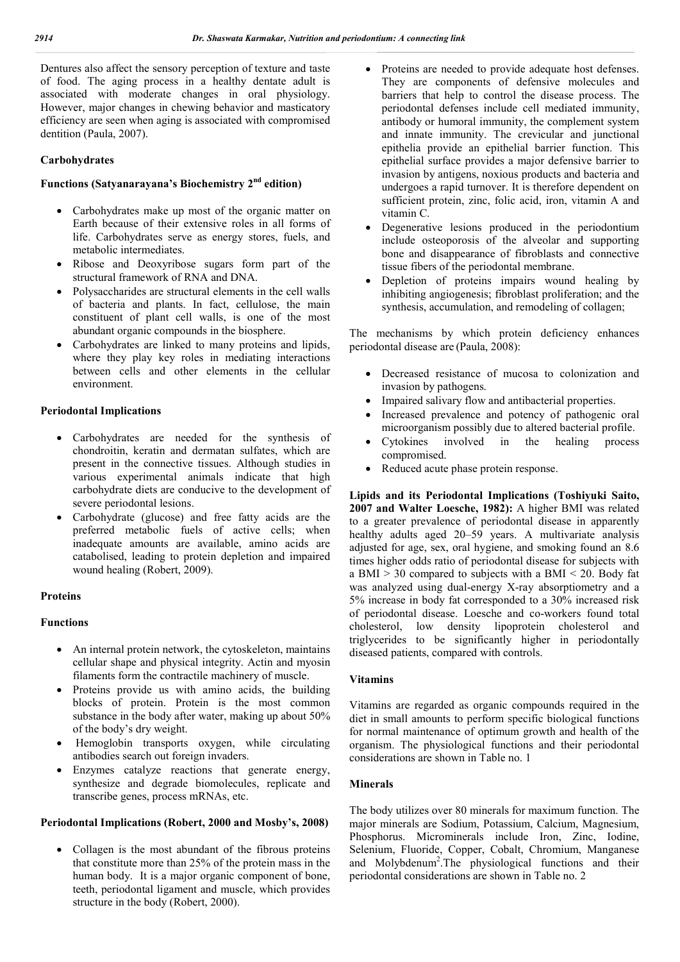Dentures also affect the sensory perception of texture and taste of food. The aging process in a healthy dentate adult is associated with moderate changes in oral physiology. However, major changes in chewing behavior and masticatory efficiency are seen when aging is associated with compromised dentition (Paula, 2007).

### **Carbohydrates**

# **Functions (Satyanarayana's Biochemistry 2nd edition)**

- Carbohydrates make up most of the organic matter on Earth because of their extensive roles in all forms of life. Carbohydrates serve as energy stores, fuels, and metabolic intermediates.
- Ribose and Deoxyribose sugars form part of the structural framework of RNA and DNA.
- Polysaccharides are structural elements in the cell walls of bacteria and plants. In fact, cellulose, the main constituent of plant cell walls, is one of the most abundant organic compounds in the biosphere.
- Carbohydrates are linked to many proteins and lipids, where they play key roles in mediating interactions between cells and other elements in the cellular environment.

#### **Periodontal Implications**

- Carbohydrates are needed for the synthesis of chondroitin, keratin and dermatan sulfates, which are present in the connective tissues. Although studies in various experimental animals indicate that high carbohydrate diets are conducive to the development of severe periodontal lesions.
- Carbohydrate (glucose) and free fatty acids are the preferred metabolic fuels of active cells; when inadequate amounts are available, amino acids are catabolised, leading to protein depletion and impaired wound healing (Robert, 2009).

#### **Proteins**

#### **Functions**

- An internal protein network, the cytoskeleton, maintains cellular shape and physical integrity. Actin and myosin filaments form the contractile machinery of muscle.
- Proteins provide us with amino acids, the building blocks of protein. Protein is the most common substance in the body after water, making up about 50% of the body's dry weight.
- Hemoglobin transports oxygen, while circulating antibodies search out foreign invaders.
- Enzymes catalyze reactions that generate energy, synthesize and degrade biomolecules, replicate and transcribe genes, process mRNAs, etc.

#### **Periodontal Implications (Robert, 2000 and Mosby's, 2008)**

• Collagen is the most abundant of the fibrous proteins that constitute more than 25% of the protein mass in the human body. It is a major organic component of bone, teeth, periodontal ligament and muscle, which provides structure in the body (Robert, 2000).

- Proteins are needed to provide adequate host defenses. They are components of defensive molecules and barriers that help to control the disease process. The periodontal defenses include cell mediated immunity, antibody or humoral immunity, the complement system and innate immunity. The crevicular and junctional epithelia provide an epithelial barrier function. This epithelial surface provides a major defensive barrier to invasion by antigens, noxious products and bacteria and undergoes a rapid turnover. It is therefore dependent on sufficient protein, zinc, folic acid, iron, vitamin A and vitamin C.
- Degenerative lesions produced in the periodontium include osteoporosis of the alveolar and supporting bone and disappearance of fibroblasts and connective tissue fibers of the periodontal membrane.
- Depletion of proteins impairs wound healing by inhibiting angiogenesis; fibroblast proliferation; and the synthesis, accumulation, and remodeling of collagen;

The mechanisms by which protein deficiency enhances periodontal disease are (Paula, 2008):

- Decreased resistance of mucosa to colonization and invasion by pathogens.
- Impaired salivary flow and antibacterial properties.
- Increased prevalence and potency of pathogenic oral microorganism possibly due to altered bacterial profile.
- Cytokines involved in the healing process compromised.
- Reduced acute phase protein response.

**Lipids and its Periodontal Implications (Toshiyuki Saito, 2007 and Walter Loesche, 1982):** A higher BMI was related to a greater prevalence of periodontal disease in apparently healthy adults aged 20–59 years. A multivariate analysis adjusted for age, sex, oral hygiene, and smoking found an 8.6 times higher odds ratio of periodontal disease for subjects with a BMI  $> 30$  compared to subjects with a BMI < 20. Body fat was analyzed using dual-energy X-ray absorptiometry and a 5% increase in body fat corresponded to a 30% increased risk of periodontal disease. Loesche and co-workers found total cholesterol, low density lipoprotein cholesterol and triglycerides to be significantly higher in periodontally diseased patients, compared with controls.

#### **Vitamins**

Vitamins are regarded as organic compounds required in the diet in small amounts to perform specific biological functions for normal maintenance of optimum growth and health of the organism. The physiological functions and their periodontal considerations are shown in Table no. 1

#### **Minerals**

The body utilizes over 80 minerals for maximum function. The major minerals are Sodium, Potassium, Calcium, Magnesium, Phosphorus. Microminerals include Iron, Zinc, Iodine, Selenium, Fluoride, Copper, Cobalt, Chromium, Manganese and Molybdenum2 .The physiological functions and their periodontal considerations are shown in Table no. 2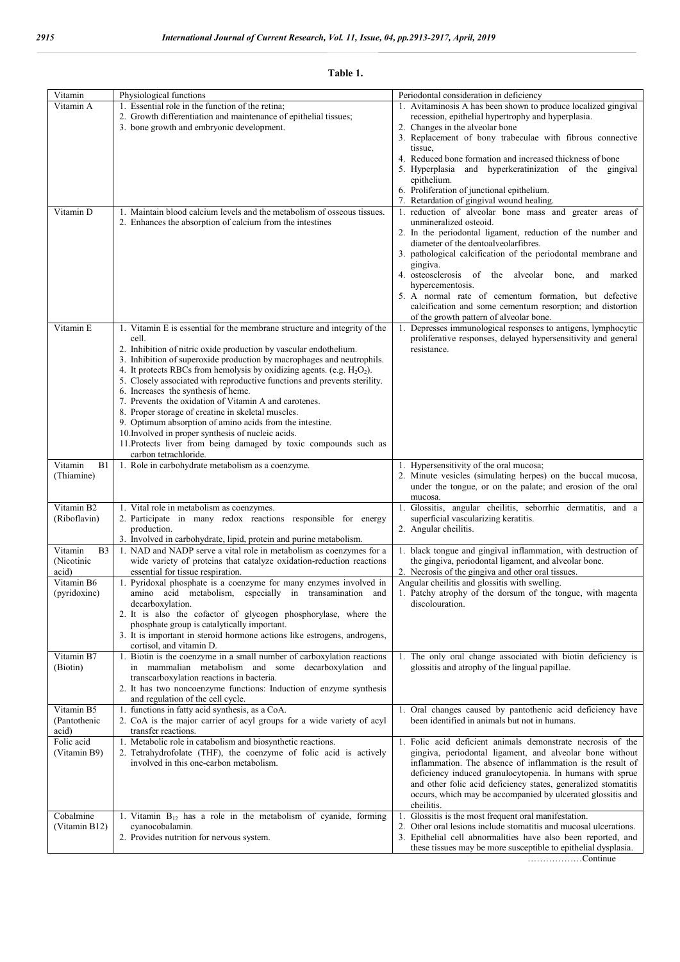#### **Table 1.**

| Vitamin                    |                                                                                                                                  | Periodontal consideration in deficiency                                                                                         |
|----------------------------|----------------------------------------------------------------------------------------------------------------------------------|---------------------------------------------------------------------------------------------------------------------------------|
| Vitamin A                  | Physiological functions<br>1. Essential role in the function of the retina;                                                      | 1. Avitaminosis A has been shown to produce localized gingival                                                                  |
|                            | 2. Growth differentiation and maintenance of epithelial tissues;                                                                 | recession, epithelial hypertrophy and hyperplasia.                                                                              |
|                            | 3. bone growth and embryonic development.                                                                                        | 2. Changes in the alveolar bone                                                                                                 |
|                            |                                                                                                                                  | 3. Replacement of bony trabeculae with fibrous connective                                                                       |
|                            |                                                                                                                                  | tissue,                                                                                                                         |
|                            |                                                                                                                                  | 4. Reduced bone formation and increased thickness of bone                                                                       |
|                            |                                                                                                                                  | 5. Hyperplasia and hyperkeratinization of the gingival                                                                          |
|                            |                                                                                                                                  | epithelium.                                                                                                                     |
|                            |                                                                                                                                  | 6. Proliferation of junctional epithelium.                                                                                      |
|                            |                                                                                                                                  | 7. Retardation of gingival wound healing.                                                                                       |
| Vitamin D                  | 1. Maintain blood calcium levels and the metabolism of osseous tissues.                                                          | 1. reduction of alveolar bone mass and greater areas of<br>unmineralized osteoid.                                               |
|                            | 2. Enhances the absorption of calcium from the intestines                                                                        | 2. In the periodontal ligament, reduction of the number and                                                                     |
|                            |                                                                                                                                  | diameter of the dentoalveolarfibres.                                                                                            |
|                            |                                                                                                                                  | 3. pathological calcification of the periodontal membrane and                                                                   |
|                            |                                                                                                                                  | gingiva.                                                                                                                        |
|                            |                                                                                                                                  | 4. osteosclerosis of the alveolar<br>marked<br>bone,<br>and                                                                     |
|                            |                                                                                                                                  | hypercementosis.                                                                                                                |
|                            |                                                                                                                                  | 5. A normal rate of cementum formation, but defective                                                                           |
|                            |                                                                                                                                  | calcification and some cementum resorption; and distortion                                                                      |
|                            |                                                                                                                                  | of the growth pattern of alveolar bone.                                                                                         |
| Vitamin E                  | 1. Vitamin E is essential for the membrane structure and integrity of the                                                        | Depresses immunological responses to antigens, lymphocytic<br>1.                                                                |
|                            | cell.<br>2. Inhibition of nitric oxide production by vascular endothelium.                                                       | proliferative responses, delayed hypersensitivity and general<br>resistance.                                                    |
|                            | 3. Inhibition of superoxide production by macrophages and neutrophils.                                                           |                                                                                                                                 |
|                            | 4. It protects RBCs from hemolysis by oxidizing agents. (e.g. $H_2O_2$ ).                                                        |                                                                                                                                 |
|                            | 5. Closely associated with reproductive functions and prevents sterility.                                                        |                                                                                                                                 |
|                            | 6. Increases the synthesis of heme.                                                                                              |                                                                                                                                 |
|                            | 7. Prevents the oxidation of Vitamin A and carotenes.                                                                            |                                                                                                                                 |
|                            | 8. Proper storage of creatine in skeletal muscles.                                                                               |                                                                                                                                 |
|                            | 9. Optimum absorption of amino acids from the intestine.                                                                         |                                                                                                                                 |
|                            | 10. Involved in proper synthesis of nucleic acids.<br>11. Protects liver from being damaged by toxic compounds such as           |                                                                                                                                 |
|                            | carbon tetrachloride.                                                                                                            |                                                                                                                                 |
| Vitamin<br>B1              | 1. Role in carbohydrate metabolism as a coenzyme.                                                                                | 1. Hypersensitivity of the oral mucosa;                                                                                         |
| (Thiamine)                 |                                                                                                                                  | 2. Minute vesicles (simulating herpes) on the buccal mucosa,                                                                    |
|                            |                                                                                                                                  | under the tongue, or on the palate; and erosion of the oral                                                                     |
|                            |                                                                                                                                  | mucosa.                                                                                                                         |
| Vitamin B2                 | 1. Vital role in metabolism as coenzymes.                                                                                        | 1. Glossitis, angular cheilitis, seborrhic dermatitis, and a                                                                    |
| (Riboflavin)               | 2. Participate in many redox reactions responsible for energy                                                                    | superficial vascularizing keratitis.                                                                                            |
|                            | production.<br>3. Involved in carbohydrate, lipid, protein and purine metabolism.                                                | 2. Angular cheilitis.                                                                                                           |
| Vitamin<br>B <sub>3</sub>  | 1. NAD and NADP serve a vital role in metabolism as coenzymes for a                                                              | 1. black tongue and gingival inflammation, with destruction of                                                                  |
| (Nicotinic                 | wide variety of proteins that catalyze oxidation-reduction reactions                                                             | the gingiva, periodontal ligament, and alveolar bone.                                                                           |
| acid)                      | essential for tissue respiration.                                                                                                | 2. Necrosis of the gingiva and other oral tissues.                                                                              |
| Vitamin B6                 | 1. Pyridoxal phosphate is a coenzyme for many enzymes involved in                                                                | Angular cheilitis and glossitis with swelling.                                                                                  |
| (pyridoxine)               | amino acid metabolism, especially in transamination and                                                                          | 1. Patchy atrophy of the dorsum of the tongue, with magenta                                                                     |
|                            | decarboxylation.                                                                                                                 | discolouration.                                                                                                                 |
|                            | 2. It is also the cofactor of glycogen phosphorylase, where the                                                                  |                                                                                                                                 |
|                            | phosphate group is catalytically important.                                                                                      |                                                                                                                                 |
|                            | 3. It is important in steroid hormone actions like estrogens, androgens,<br>cortisol, and vitamin D.                             |                                                                                                                                 |
| Vitamin B7                 | Biotin is the coenzyme in a small number of carboxylation reactions<br>1.                                                        | 1. The only oral change associated with biotin deficiency is                                                                    |
| (Biotin)                   | in mammalian metabolism and some decarboxylation and                                                                             | glossitis and atrophy of the lingual papillae.                                                                                  |
|                            | transcarboxylation reactions in bacteria.                                                                                        |                                                                                                                                 |
|                            | 2. It has two noncoenzyme functions: Induction of enzyme synthesis                                                               |                                                                                                                                 |
|                            | and regulation of the cell cycle.                                                                                                |                                                                                                                                 |
| Vitamin B5                 | 1. functions in fatty acid synthesis, as a CoA.                                                                                  | 1. Oral changes caused by pantothenic acid deficiency have                                                                      |
| (Pantothenic               | 2. CoA is the major carrier of acyl groups for a wide variety of acyl                                                            | been identified in animals but not in humans.                                                                                   |
| acid)                      | transfer reactions.                                                                                                              |                                                                                                                                 |
| Folic acid<br>(Vitamin B9) | 1. Metabolic role in catabolism and biosynthetic reactions.<br>2. Tetrahydrofolate (THF), the coenzyme of folic acid is actively | 1. Folic acid deficient animals demonstrate necrosis of the<br>gingiva, periodontal ligament, and alveolar bone without         |
|                            | involved in this one-carbon metabolism.                                                                                          | inflammation. The absence of inflammation is the result of                                                                      |
|                            |                                                                                                                                  | deficiency induced granulocytopenia. In humans with sprue                                                                       |
|                            |                                                                                                                                  | and other folic acid deficiency states, generalized stomatitis                                                                  |
|                            |                                                                                                                                  | occurs, which may be accompanied by ulcerated glossitis and                                                                     |
|                            |                                                                                                                                  | cheilitis.                                                                                                                      |
| Cobalmine                  | 1. Vitamin B <sub>12</sub> has a role in the metabolism of cyanide, forming                                                      | Glossitis is the most frequent oral manifestation.<br>1.                                                                        |
| (Vitamin B12)              | cyanocobalamin.                                                                                                                  | 2. Other oral lesions include stomatitis and mucosal ulcerations.                                                               |
|                            | 2. Provides nutrition for nervous system.                                                                                        | 3. Epithelial cell abnormalities have also been reported, and<br>these tissues may be more susceptible to epithelial dysplasia. |
|                            |                                                                                                                                  |                                                                                                                                 |

………………Continue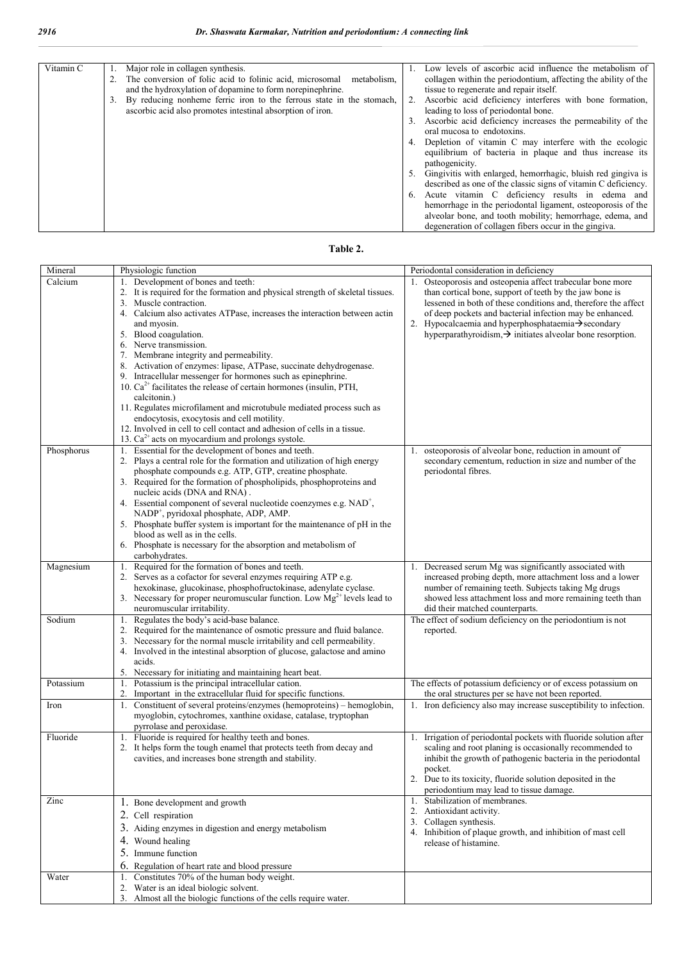| Vitamin C | Major role in collagen synthesis.                                    | Low levels of ascorbic acid influence the metabolism of         |
|-----------|----------------------------------------------------------------------|-----------------------------------------------------------------|
|           | The conversion of folic acid to folinic acid, microsomal metabolism, | collagen within the periodontium, affecting the ability of the  |
|           | and the hydroxylation of dopamine to form norepinephrine.            | tissue to regenerate and repair itself.                         |
|           | By reducing nonheme ferric iron to the ferrous state in the stomach, | Ascorbic acid deficiency interferes with bone formation,        |
|           | ascorbic acid also promotes intestinal absorption of iron.           | leading to loss of periodontal bone.                            |
|           |                                                                      | Ascorbic acid deficiency increases the permeability of the      |
|           |                                                                      | oral mucosa to endotoxins.                                      |
|           |                                                                      | 4. Depletion of vitamin C may interfere with the ecologic       |
|           |                                                                      | equilibrium of bacteria in plaque and thus increase its         |
|           |                                                                      | pathogenicity.                                                  |
|           |                                                                      | 5. Gingivitis with enlarged, hemorrhagic, bluish red gingiva is |
|           |                                                                      | described as one of the classic signs of vitamin C deficiency.  |
|           |                                                                      | 6. Acute vitamin C deficiency results in edema and              |
|           |                                                                      | hemorrhage in the periodontal ligament, osteoporosis of the     |
|           |                                                                      | alveolar bone, and tooth mobility; hemorrhage, edema, and       |
|           |                                                                      | degeneration of collagen fibers occur in the gingiva.           |

| able |
|------|
|------|

| Mineral    | Physiologic function                                                                                                                                                                                                                                                                                                                                                                                                                                                                                                                                                                                                                                                                                                                                                                                                                  | Periodontal consideration in deficiency                                                                                                                                                                                                                                                                                                                                            |
|------------|---------------------------------------------------------------------------------------------------------------------------------------------------------------------------------------------------------------------------------------------------------------------------------------------------------------------------------------------------------------------------------------------------------------------------------------------------------------------------------------------------------------------------------------------------------------------------------------------------------------------------------------------------------------------------------------------------------------------------------------------------------------------------------------------------------------------------------------|------------------------------------------------------------------------------------------------------------------------------------------------------------------------------------------------------------------------------------------------------------------------------------------------------------------------------------------------------------------------------------|
| Calcium    | 1. Development of bones and teeth:<br>2. It is required for the formation and physical strength of skeletal tissues.<br>3. Muscle contraction.<br>4. Calcium also activates ATPase, increases the interaction between actin<br>and myosin.<br>5. Blood coagulation.<br>6. Nerve transmission.<br>7. Membrane integrity and permeability.<br>8. Activation of enzymes: lipase, ATPase, succinate dehydrogenase.<br>9. Intracellular messenger for hormones such as epinephrine.<br>10. $Ca^{2+}$ facilitates the release of certain hormones (insulin, PTH,<br>calcitonin.)<br>11. Regulates microfilament and microtubule mediated process such as<br>endocytosis, exocytosis and cell motility.<br>12. Involved in cell to cell contact and adhesion of cells in a tissue.<br>13. $Ca^{2+}$ acts on myocardium and prolongs systole. | 1. Osteoporosis and osteopenia affect trabecular bone more<br>than cortical bone, support of teeth by the jaw bone is<br>lessened in both of these conditions and, therefore the affect<br>of deep pockets and bacterial infection may be enhanced.<br>2. Hypocalcaemia and hyperphosphataemia>secondary<br>hyperparathyroidism, $\rightarrow$ initiates alveolar bone resorption. |
| Phosphorus | Essential for the development of bones and teeth.<br>1.<br>2. Plays a central role for the formation and utilization of high energy<br>phosphate compounds e.g. ATP, GTP, creatine phosphate.<br>3. Required for the formation of phospholipids, phosphoproteins and<br>nucleic acids (DNA and RNA).<br>4. Essential component of several nucleotide coenzymes e.g. NAD <sup>+</sup> ,<br>NADP <sup>+</sup> , pyridoxal phosphate, ADP, AMP.<br>5. Phosphate buffer system is important for the maintenance of pH in the<br>blood as well as in the cells.<br>6. Phosphate is necessary for the absorption and metabolism of<br>carbohydrates.                                                                                                                                                                                        | osteoporosis of alveolar bone, reduction in amount of<br>1.<br>secondary cementum, reduction in size and number of the<br>periodontal fibres.                                                                                                                                                                                                                                      |
| Magnesium  | Required for the formation of bones and teeth.<br>1.<br>2. Serves as a cofactor for several enzymes requiring ATP e.g.<br>hexokinase, glucokinase, phosphofructokinase, adenylate cyclase.<br>3. Necessary for proper neuromuscular function. Low $Mg^{2+}$ levels lead to<br>neuromuscular irritability.                                                                                                                                                                                                                                                                                                                                                                                                                                                                                                                             | Decreased serum Mg was significantly associated with<br>1.<br>increased probing depth, more attachment loss and a lower<br>number of remaining teeth. Subjects taking Mg drugs<br>showed less attachment loss and more remaining teeth than<br>did their matched counterparts.                                                                                                     |
| Sodium     | 1. Regulates the body's acid-base balance.<br>2. Required for the maintenance of osmotic pressure and fluid balance.<br>3. Necessary for the normal muscle irritability and cell permeability.<br>4. Involved in the intestinal absorption of glucose, galactose and amino<br>acids.<br>5. Necessary for initiating and maintaining heart beat.                                                                                                                                                                                                                                                                                                                                                                                                                                                                                       | The effect of sodium deficiency on the periodontium is not<br>reported.                                                                                                                                                                                                                                                                                                            |
| Potassium  | Potassium is the principal intracellular cation.<br>1.<br>Important in the extracellular fluid for specific functions.<br>2.                                                                                                                                                                                                                                                                                                                                                                                                                                                                                                                                                                                                                                                                                                          | The effects of potassium deficiency or of excess potassium on<br>the oral structures per se have not been reported.                                                                                                                                                                                                                                                                |
| Iron       | 1. Constituent of several proteins/enzymes (hemoproteins) - hemoglobin,<br>myoglobin, cytochromes, xanthine oxidase, catalase, tryptophan<br>pyrrolase and peroxidase.                                                                                                                                                                                                                                                                                                                                                                                                                                                                                                                                                                                                                                                                | 1. Iron deficiency also may increase susceptibility to infection.                                                                                                                                                                                                                                                                                                                  |
| Fluoride   | 1. Fluoride is required for healthy teeth and bones.<br>2. It helps form the tough enamel that protects teeth from decay and<br>cavities, and increases bone strength and stability.                                                                                                                                                                                                                                                                                                                                                                                                                                                                                                                                                                                                                                                  | 1. Irrigation of periodontal pockets with fluoride solution after<br>scaling and root planing is occasionally recommended to<br>inhibit the growth of pathogenic bacteria in the periodontal<br>pocket.<br>2. Due to its toxicity, fluoride solution deposited in the<br>periodontium may lead to tissue damage.                                                                   |
| Zinc       | 1. Bone development and growth<br>2. Cell respiration<br>3. Aiding enzymes in digestion and energy metabolism<br>4. Wound healing<br>5. Immune function<br>6. Regulation of heart rate and blood pressure                                                                                                                                                                                                                                                                                                                                                                                                                                                                                                                                                                                                                             | 1. Stabilization of membranes.<br>2. Antioxidant activity.<br>3. Collagen synthesis.<br>4. Inhibition of plaque growth, and inhibition of mast cell<br>release of histamine.                                                                                                                                                                                                       |
| Water      | 1. Constitutes 70% of the human body weight.<br>2. Water is an ideal biologic solvent.<br>3. Almost all the biologic functions of the cells require water.                                                                                                                                                                                                                                                                                                                                                                                                                                                                                                                                                                                                                                                                            |                                                                                                                                                                                                                                                                                                                                                                                    |